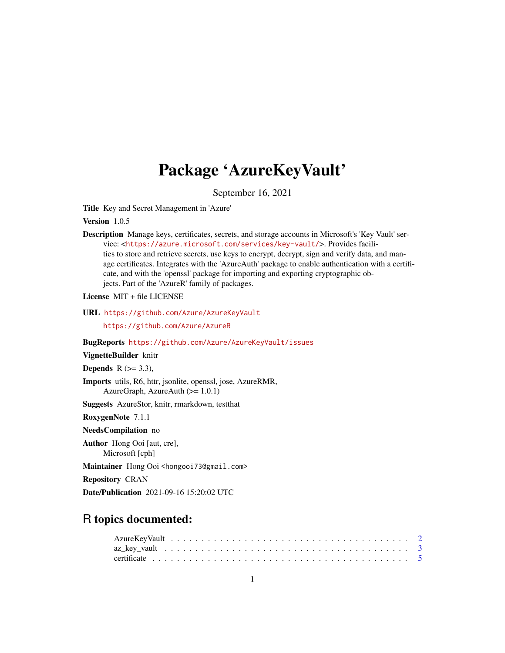# Package 'AzureKeyVault'

September 16, 2021

<span id="page-0-0"></span>Title Key and Secret Management in 'Azure'

Version 1.0.5

Description Manage keys, certificates, secrets, and storage accounts in Microsoft's 'Key Vault' service: <<https://azure.microsoft.com/services/key-vault/>>. Provides facilities to store and retrieve secrets, use keys to encrypt, decrypt, sign and verify data, and manage certificates. Integrates with the 'AzureAuth' package to enable authentication with a certificate, and with the 'openssl' package for importing and exporting cryptographic objects. Part of the 'AzureR' family of packages.

License MIT + file LICENSE

URL <https://github.com/Azure/AzureKeyVault>

<https://github.com/Azure/AzureR>

BugReports <https://github.com/Azure/AzureKeyVault/issues>

VignetteBuilder knitr

Depends  $R$  ( $>=$  3.3),

Imports utils, R6, httr, jsonlite, openssl, jose, AzureRMR, AzureGraph, AzureAuth (>= 1.0.1)

Suggests AzureStor, knitr, rmarkdown, testthat

RoxygenNote 7.1.1

NeedsCompilation no

Author Hong Ooi [aut, cre], Microsoft [cph]

Maintainer Hong Ooi <hongooi73@gmail.com>

Repository CRAN

Date/Publication 2021-09-16 15:20:02 UTC

# R topics documented: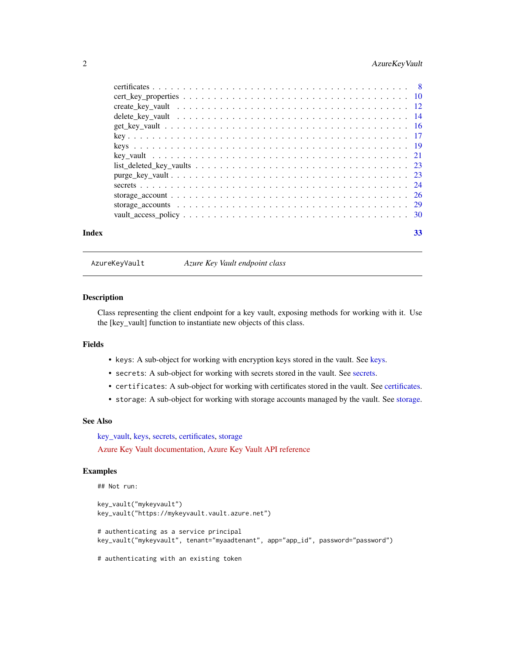# <span id="page-1-0"></span>2 AzureKeyVault

|       | $list$ $\text{deleted}$ $\text{key}_\text{vaults}$ $\ldots$ $\ldots$ $\ldots$ $\ldots$ $\ldots$ $\ldots$ $\ldots$ $\ldots$ $\ldots$ $\ldots$ $\ldots$ $\ldots$ |  |
|-------|----------------------------------------------------------------------------------------------------------------------------------------------------------------|--|
|       |                                                                                                                                                                |  |
|       |                                                                                                                                                                |  |
|       |                                                                                                                                                                |  |
|       |                                                                                                                                                                |  |
|       |                                                                                                                                                                |  |
| Index | 33                                                                                                                                                             |  |

AzureKeyVault *Azure Key Vault endpoint class*

#### Description

Class representing the client endpoint for a key vault, exposing methods for working with it. Use the [key\_vault] function to instantiate new objects of this class.

# Fields

- keys: A sub-object for working with encryption keys stored in the vault. See [keys.](#page-18-1)
- secrets: A sub-object for working with secrets stored in the vault. See [secrets.](#page-23-1)
- certificates: A sub-object for working with certificates stored in the vault. See [certificates.](#page-7-1)
- storage: A sub-object for working with storage accounts managed by the vault. See [storage.](#page-28-1)

# See Also

[key\\_vault,](#page-20-1) [keys,](#page-18-1) [secrets,](#page-23-1) [certificates,](#page-7-1) [storage](#page-28-1) [Azure Key Vault documentation,](https://docs.microsoft.com/en-us/azure/key-vault/) [Azure Key Vault API reference](https://docs.microsoft.com/en-us/rest/api/keyvault)

#### Examples

```
## Not run:
```

```
key_vault("mykeyvault")
key_vault("https://mykeyvault.vault.azure.net")
```
# authenticating as a service principal key\_vault("mykeyvault", tenant="myaadtenant", app="app\_id", password="password")

# authenticating with an existing token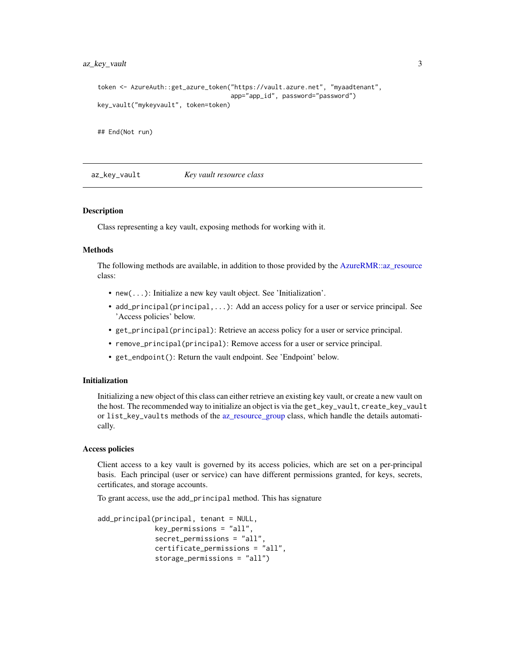# <span id="page-2-0"></span>az\_key\_vault 3

```
token <- AzureAuth::get_azure_token("https://vault.azure.net", "myaadtenant",
                                    app="app_id", password="password")
key_vault("mykeyvault", token=token)
```
## End(Not run)

<span id="page-2-1"></span>az\_key\_vault *Key vault resource class*

#### **Description**

Class representing a key vault, exposing methods for working with it.

#### Methods

The following methods are available, in addition to those provided by the [AzureRMR::az\\_resource](#page-0-0) class:

- new(...): Initialize a new key vault object. See 'Initialization'.
- add\_principal(principal,...): Add an access policy for a user or service principal. See 'Access policies' below.
- get\_principal(principal): Retrieve an access policy for a user or service principal.
- remove\_principal(principal): Remove access for a user or service principal.
- get\_endpoint(): Return the vault endpoint. See 'Endpoint' below.

#### Initialization

Initializing a new object of this class can either retrieve an existing key vault, or create a new vault on the host. The recommended way to initialize an object is via the get\_key\_vault, create\_key\_vault or list\_key\_vaults methods of the [az\\_resource\\_group](#page-0-0) class, which handle the details automatically.

## Access policies

Client access to a key vault is governed by its access policies, which are set on a per-principal basis. Each principal (user or service) can have different permissions granted, for keys, secrets, certificates, and storage accounts.

To grant access, use the add\_principal method. This has signature

```
add_principal(principal, tenant = NULL,
             key\_permissions = "all",secret_permissions = "all",
              certificate_permissions = "all",
              storage_permissions = "all")
```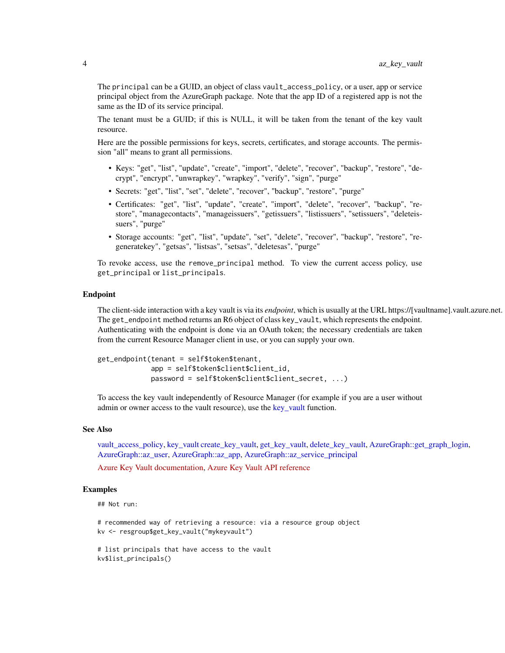<span id="page-3-0"></span>The principal can be a GUID, an object of class vault\_access\_policy, or a user, app or service principal object from the AzureGraph package. Note that the app ID of a registered app is not the same as the ID of its service principal.

The tenant must be a GUID; if this is NULL, it will be taken from the tenant of the key vault resource.

Here are the possible permissions for keys, secrets, certificates, and storage accounts. The permission "all" means to grant all permissions.

- Keys: "get", "list", "update", "create", "import", "delete", "recover", "backup", "restore", "decrypt", "encrypt", "unwrapkey", "wrapkey", "verify", "sign", "purge"
- Secrets: "get", "list", "set", "delete", "recover", "backup", "restore", "purge"
- Certificates: "get", "list", "update", "create", "import", "delete", "recover", "backup", "restore", "managecontacts", "manageissuers", "getissuers", "listissuers", "setissuers", "deleteissuers", "purge"
- Storage accounts: "get", "list", "update", "set", "delete", "recover", "backup", "restore", "regeneratekey", "getsas", "listsas", "setsas", "deletesas", "purge"

To revoke access, use the remove\_principal method. To view the current access policy, use get\_principal or list\_principals.

#### Endpoint

The client-side interaction with a key vault is via its *endpoint*, which is usually at the URL https://[vaultname].vault.azure.net. The get\_endpoint method returns an R6 object of class key\_vault, which represents the endpoint. Authenticating with the endpoint is done via an OAuth token; the necessary credentials are taken from the current Resource Manager client in use, or you can supply your own.

```
get_endpoint(tenant = self$token$tenant,
             app = self$token$client$client_id,
             password = self$token$client$client_secret, ...)
```
To access the key vault independently of Resource Manager (for example if you are a user without admin or owner access to the vault resource), use the [key\\_vault](#page-20-1) function.

#### See Also

[vault\\_access\\_policy,](#page-29-1) [key\\_vault](#page-20-1) [create\\_key\\_vault,](#page-11-1) [get\\_key\\_vault,](#page-15-1) [delete\\_key\\_vault,](#page-13-1) [AzureGraph::get\\_graph\\_login,](#page-0-0) [AzureGraph::az\\_user,](#page-0-0) [AzureGraph::az\\_app,](#page-0-0) [AzureGraph::az\\_service\\_principal](#page-0-0)

[Azure Key Vault documentation,](https://docs.microsoft.com/en-us/azure/key-vault/) [Azure Key Vault API reference](https://docs.microsoft.com/en-us/rest/api/keyvault)

# Examples

```
## Not run:
```
# recommended way of retrieving a resource: via a resource group object kv <- resgroup\$get\_key\_vault("mykeyvault")

# list principals that have access to the vault kv\$list\_principals()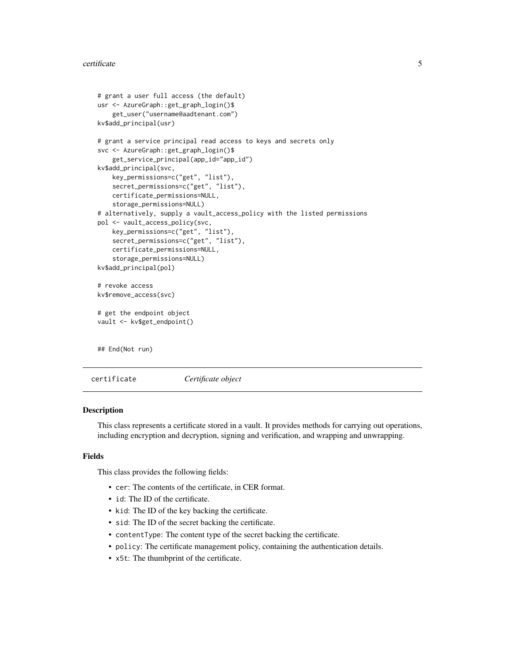```
# grant a user full access (the default)
usr <- AzureGraph::get_graph_login()$
    get_user("username@aadtenant.com")
kv$add_principal(usr)
# grant a service principal read access to keys and secrets only
svc <- AzureGraph::get_graph_login()$
    get_service_principal(app_id="app_id")
kv$add_principal(svc,
    key_permissions=c("get", "list"),
    secret_permissions=c("get", "list"),
    certificate_permissions=NULL,
    storage_permissions=NULL)
# alternatively, supply a vault_access_policy with the listed permissions
pol <- vault_access_policy(svc,
    key_permissions=c("get", "list"),
    secret_permissions=c("get", "list"),
    certificate_permissions=NULL,
    storage_permissions=NULL)
kv$add_principal(pol)
# revoke access
kv$remove_access(svc)
# get the endpoint object
vault <- kv$get_endpoint()
## End(Not run)
```
<span id="page-4-1"></span>certificate *Certificate object*

#### **Description**

This class represents a certificate stored in a vault. It provides methods for carrying out operations, including encryption and decryption, signing and verification, and wrapping and unwrapping.

#### Fields

This class provides the following fields:

- cer: The contents of the certificate, in CER format.
- id: The ID of the certificate.
- kid: The ID of the key backing the certificate.
- sid: The ID of the secret backing the certificate.
- contentType: The content type of the secret backing the certificate.
- policy: The certificate management policy, containing the authentication details.
- x5t: The thumbprint of the certificate.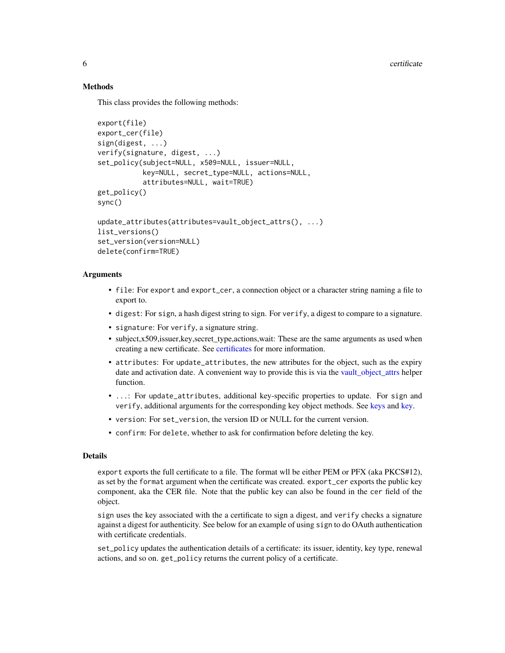# Methods

This class provides the following methods:

```
export(file)
export_cer(file)
sign(digest, ...)
verify(signature, digest, ...)
set_policy(subject=NULL, x509=NULL, issuer=NULL,
           key=NULL, secret_type=NULL, actions=NULL,
           attributes=NULL, wait=TRUE)
get_policy()
sync()
update_attributes(attributes=vault_object_attrs(), ...)
list_versions()
set_version(version=NULL)
delete(confirm=TRUE)
```
### Arguments

- file: For export and export\_cer, a connection object or a character string naming a file to export to.
- digest: For sign, a hash digest string to sign. For verify, a digest to compare to a signature.
- signature: For verify, a signature string.
- subject,x509,issuer,key,secret\_type,actions,wait: These are the same arguments as used when creating a new certificate. See [certificates](#page-7-1) for more information.
- attributes: For update\_attributes, the new attributes for the object, such as the expiry date and activation date. A convenient way to provide this is via the [vault\\_object\\_attrs](#page-9-1) helper function.
- ...: For update\_attributes, additional key-specific properties to update. For sign and verify, additional arguments for the corresponding key object methods. See [keys](#page-18-1) and [key.](#page-16-1)
- version: For set\_version, the version ID or NULL for the current version.
- confirm: For delete, whether to ask for confirmation before deleting the key.

#### Details

export exports the full certificate to a file. The format wll be either PEM or PFX (aka PKCS#12), as set by the format argument when the certificate was created. export\_cer exports the public key component, aka the CER file. Note that the public key can also be found in the cer field of the object.

sign uses the key associated with the a certificate to sign a digest, and verify checks a signature against a digest for authenticity. See below for an example of using sign to do OAuth authentication with certificate credentials.

set\_policy updates the authentication details of a certificate: its issuer, identity, key type, renewal actions, and so on. get\_policy returns the current policy of a certificate.

<span id="page-5-0"></span>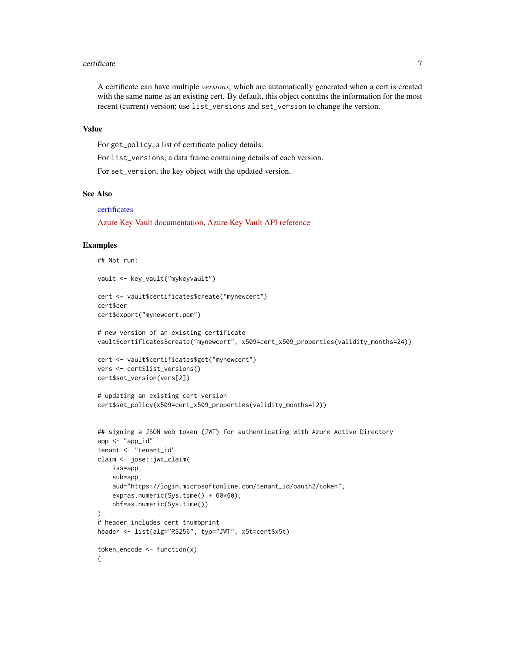#### <span id="page-6-0"></span>certificate 7 and 2008 and 2008 and 2008 and 2008 and 2008 and 2008 and 2008 and 2008 and 2008 and 2008 and 200

A certificate can have multiple *versions*, which are automatically generated when a cert is created with the same name as an existing cert. By default, this object contains the information for the most recent (current) version; use list\_versions and set\_version to change the version.

# Value

For get\_policy, a list of certificate policy details.

For list\_versions, a data frame containing details of each version.

For set\_version, the key object with the updated version.

#### See Also

#### [certificates](#page-7-1)

[Azure Key Vault documentation,](https://docs.microsoft.com/en-us/azure/key-vault/) [Azure Key Vault API reference](https://docs.microsoft.com/en-us/rest/api/keyvault)

#### Examples

```
## Not run:
vault <- key_vault("mykeyvault")
cert <- vault$certificates$create("mynewcert")
cert$cer
cert$export("mynewcert.pem")
# new version of an existing certificate
vault$certificates$create("mynewcert", x509=cert_x509_properties(validity_months=24))
cert <- vault$certificates$get("mynewcert")
vers <- cert$list_versions()
cert$set_version(vers[2])
# updating an existing cert version
cert$set_policy(x509=cert_x509_properties(validity_months=12))
## signing a JSON web token (JWT) for authenticating with Azure Active Directory
app < - "app_id"
tenant <- "tenant_id"
claim <- jose::jwt_claim(
   iss=app,
    sub=app,
    aud="https://login.microsoftonline.com/tenant_id/oauth2/token",
    exp=as.numeric(Sys.time() + 60*60),
   nbf=as.numeric(Sys.time())
)
# header includes cert thumbprint
header <- list(alg="RS256", typ="JWT", x5t=cert$x5t)
token_encode <- function(x)
{
```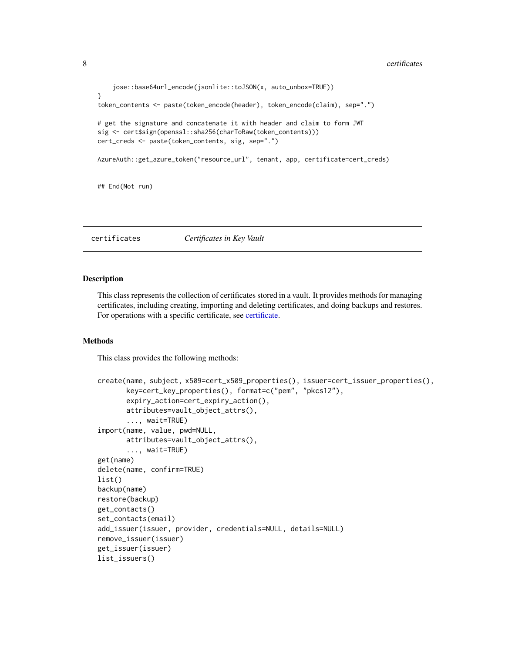```
jose::base64url_encode(jsonlite::toJSON(x, auto_unbox=TRUE))
}
token_contents <- paste(token_encode(header), token_encode(claim), sep=".")
# get the signature and concatenate it with header and claim to form JWT
sig <- cert$sign(openssl::sha256(charToRaw(token_contents)))
cert_creds <- paste(token_contents, sig, sep=".")
AzureAuth::get_azure_token("resource_url", tenant, app, certificate=cert_creds)
## End(Not run)
```
<span id="page-7-1"></span>certificates *Certificates in Key Vault*

#### **Description**

This class represents the collection of certificates stored in a vault. It provides methods for managing certificates, including creating, importing and deleting certificates, and doing backups and restores. For operations with a specific certificate, see [certificate.](#page-4-1)

#### Methods

This class provides the following methods:

```
create(name, subject, x509=cert_x509_properties(), issuer=cert_issuer_properties(),
       key=cert_key_properties(), format=c("pem", "pkcs12"),
       expiry_action=cert_expiry_action(),
       attributes=vault_object_attrs(),
       ..., wait=TRUE)
import(name, value, pwd=NULL,
       attributes=vault_object_attrs(),
       ..., wait=TRUE)
get(name)
delete(name, confirm=TRUE)
list()
backup(name)
restore(backup)
get_contacts()
set_contacts(email)
add_issuer(issuer, provider, credentials=NULL, details=NULL)
remove_issuer(issuer)
get_issuer(issuer)
list_issuers()
```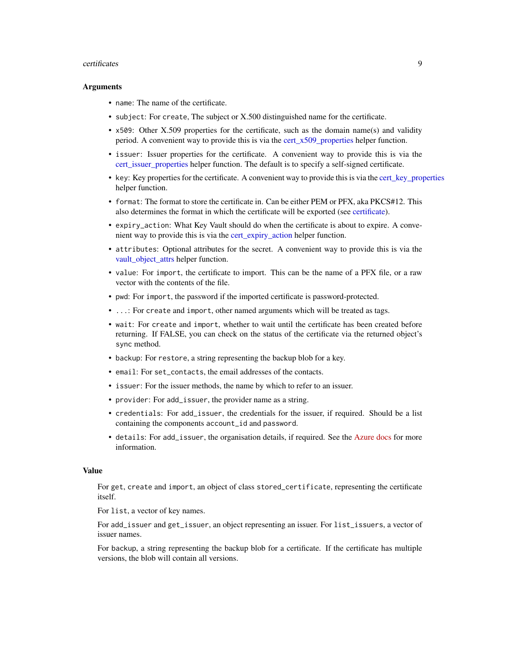#### <span id="page-8-0"></span>certificates **9**

#### Arguments

- name: The name of the certificate.
- subject: For create, The subject or X.500 distinguished name for the certificate.
- x509: Other X.509 properties for the certificate, such as the domain name(s) and validity period. A convenient way to provide this is via the [cert\\_x509\\_properties](#page-9-1) helper function.
- issuer: Issuer properties for the certificate. A convenient way to provide this is via the [cert\\_issuer\\_properties](#page-9-1) helper function. The default is to specify a self-signed certificate.
- key: Key properties for the certificate. A convenient way to provide this is via the cert key properties helper function.
- format: The format to store the certificate in. Can be either PEM or PFX, aka PKCS#12. This also determines the format in which the certificate will be exported (see [certificate\)](#page-4-1).
- expiry\_action: What Key Vault should do when the certificate is about to expire. A convenient way to provide this is via the [cert\\_expiry\\_action](#page-9-1) helper function.
- attributes: Optional attributes for the secret. A convenient way to provide this is via the [vault\\_object\\_attrs](#page-9-1) helper function.
- value: For import, the certificate to import. This can be the name of a PFX file, or a raw vector with the contents of the file.
- pwd: For import, the password if the imported certificate is password-protected.
- ...: For create and import, other named arguments which will be treated as tags.
- wait: For create and import, whether to wait until the certificate has been created before returning. If FALSE, you can check on the status of the certificate via the returned object's sync method.
- backup: For restore, a string representing the backup blob for a key.
- email: For set\_contacts, the email addresses of the contacts.
- issuer: For the issuer methods, the name by which to refer to an issuer.
- provider: For add\_issuer, the provider name as a string.
- credentials: For add\_issuer, the credentials for the issuer, if required. Should be a list containing the components account\_id and password.
- details: For add\_issuer, the organisation details, if required. See the [Azure docs](https://docs.microsoft.com/en-us/rest/api/keyvault/setcertificateissuer/setcertificateissuer#administratordetails) for more information.

#### Value

For get, create and import, an object of class stored\_certificate, representing the certificate itself.

For list, a vector of key names.

For add\_issuer and get\_issuer, an object representing an issuer. For list\_issuers, a vector of issuer names.

For backup, a string representing the backup blob for a certificate. If the certificate has multiple versions, the blob will contain all versions.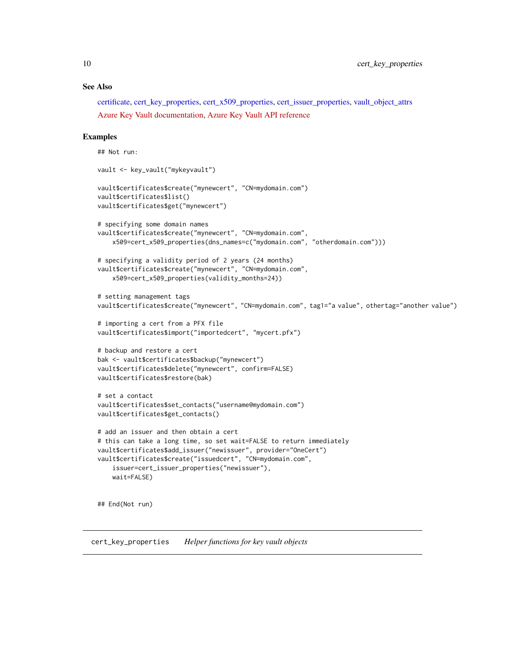# <span id="page-9-0"></span>See Also

[certificate,](#page-4-1) [cert\\_key\\_properties,](#page-9-2) [cert\\_x509\\_properties,](#page-9-1) [cert\\_issuer\\_properties,](#page-9-1) [vault\\_object\\_attrs](#page-9-1) [Azure Key Vault documentation,](https://docs.microsoft.com/en-us/azure/key-vault/) [Azure Key Vault API reference](https://docs.microsoft.com/en-us/rest/api/keyvault)

#### Examples

```
## Not run:
vault <- key_vault("mykeyvault")
vault$certificates$create("mynewcert", "CN=mydomain.com")
vault$certificates$list()
vault$certificates$get("mynewcert")
# specifying some domain names
vault$certificates$create("mynewcert", "CN=mydomain.com",
   x509=cert_x509_properties(dns_names=c("mydomain.com", "otherdomain.com")))
# specifying a validity period of 2 years (24 months)
vault$certificates$create("mynewcert", "CN=mydomain.com",
    x509=cert_x509_properties(validity_months=24))
# setting management tags
vault$certificates$create("mynewcert", "CN=mydomain.com", tag1="a value", othertag="another value")
# importing a cert from a PFX file
vault$certificates$import("importedcert", "mycert.pfx")
# backup and restore a cert
bak <- vault$certificates$backup("mynewcert")
vault$certificates$delete("mynewcert", confirm=FALSE)
vault$certificates$restore(bak)
# set a contact
vault$certificates$set_contacts("username@mydomain.com")
vault$certificates$get_contacts()
# add an issuer and then obtain a cert
# this can take a long time, so set wait=FALSE to return immediately
vault$certificates$add_issuer("newissuer", provider="OneCert")
vault$certificates$create("issuedcert", "CN=mydomain.com",
    issuer=cert_issuer_properties("newissuer"),
   wait=FALSE)
## End(Not run)
```
<span id="page-9-2"></span><span id="page-9-1"></span>cert\_key\_properties *Helper functions for key vault objects*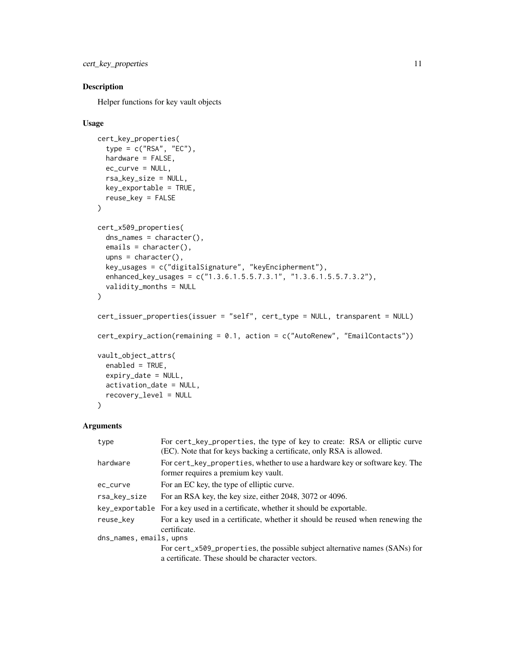```
cert_key_properties 11
```
# Description

Helper functions for key vault objects

# Usage

```
cert_key_properties(
  type = c("RSA", "EC"),
 hardware = FALSE,
 ec_curve = NULL,
  rsa_key_size = NULL,
 key_exportable = TRUE,
 reuse_key = FALSE
)
cert_x509_properties(
  dns_names = character(),
  emails = character(),
 upns = character(),
 key_usages = c("digitalSignature", "keyEncipherment"),
 enhanced_key_usages = c("1.3.6.1.5.5.7.3.1", "1.3.6.1.5.5.7.3.2"),
  validity_months = NULL
)
cert_issuer_properties(issuer = "self", cert_type = NULL, transparent = NULL)
cert_expiry_action(remaining = 0.1, action = c("AutoRenew", "EmailContacts"))
vault_object_attrs(
  enabled = TRUE,
  expiry_date = NULL,
 activation_date = NULL,
  recovery_level = NULL
\lambda
```
# Arguments

| type                    | For cert_key_properties, the type of key to create: RSA or elliptic curve<br>(EC). Note that for keys backing a certificate, only RSA is allowed. |
|-------------------------|---------------------------------------------------------------------------------------------------------------------------------------------------|
| hardware                | For cert_key_properties, whether to use a hardware key or software key. The<br>former requires a premium key vault.                               |
| ec_curve                | For an EC key, the type of elliptic curve.                                                                                                        |
| rsa_key_size            | For an RSA key, the key size, either 2048, 3072 or 4096.                                                                                          |
|                         | key_exportable For a key used in a certificate, whether it should be exportable.                                                                  |
| reuse_key               | For a key used in a certificate, whether it should be reused when renewing the<br>certificate.                                                    |
| dns_names, emails, upns |                                                                                                                                                   |
|                         | For cert_x509_properties, the possible subject alternative names (SANs) for<br>a certificate. These should be character vectors                   |

a certificate. These should be character vectors.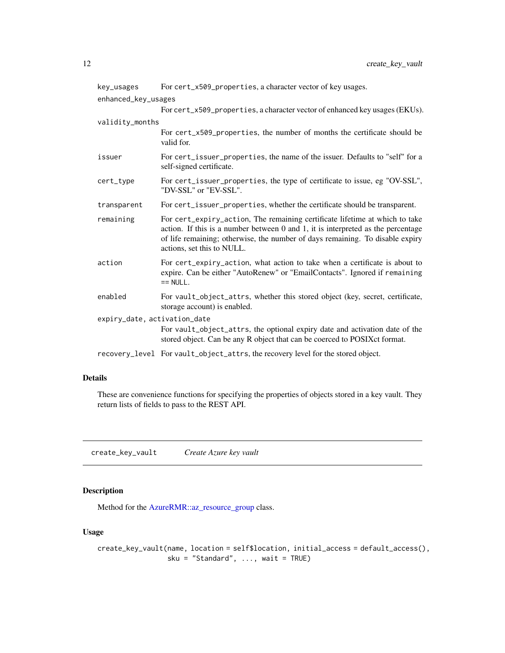<span id="page-11-0"></span>

| key_usages                   | For cert_x509_properties, a character vector of key usages.                                                                                                                                                                                                                         |
|------------------------------|-------------------------------------------------------------------------------------------------------------------------------------------------------------------------------------------------------------------------------------------------------------------------------------|
| enhanced_key_usages          |                                                                                                                                                                                                                                                                                     |
|                              | For cert_x509_properties, a character vector of enhanced key usages (EKUs).                                                                                                                                                                                                         |
| validity_months              |                                                                                                                                                                                                                                                                                     |
|                              | For cert_x509_properties, the number of months the certificate should be<br>valid for.                                                                                                                                                                                              |
| issuer                       | For cert_issuer_properties, the name of the issuer. Defaults to "self" for a<br>self-signed certificate.                                                                                                                                                                            |
| cert_type                    | For cert_issuer_properties, the type of certificate to issue, eg "OV-SSL",<br>"DV-SSL" or "EV-SSL".                                                                                                                                                                                 |
| transparent                  | For cert_issuer_properties, whether the certificate should be transparent.                                                                                                                                                                                                          |
| remaining                    | For cert_expiry_action, The remaining certificate lifetime at which to take<br>action. If this is a number between $0$ and $1$ , it is interpreted as the percentage<br>of life remaining; otherwise, the number of days remaining. To disable expiry<br>actions, set this to NULL. |
| action                       | For cert_expiry_action, what action to take when a certificate is about to<br>expire. Can be either "AutoRenew" or "EmailContacts". Ignored if remaining<br>$== NULL$ .                                                                                                             |
| enabled                      | For vault_object_attrs, whether this stored object (key, secret, certificate,<br>storage account) is enabled.                                                                                                                                                                       |
| expiry_date, activation_date |                                                                                                                                                                                                                                                                                     |
|                              | For vault_object_attrs, the optional expiry date and activation date of the<br>stored object. Can be any R object that can be coerced to POSIXct format.                                                                                                                            |
|                              | recovery_level For vault_object_attrs, the recovery level for the stored object.                                                                                                                                                                                                    |

## Details

These are convenience functions for specifying the properties of objects stored in a key vault. They return lists of fields to pass to the REST API.

<span id="page-11-1"></span>create\_key\_vault *Create Azure key vault*

# Description

Method for the [AzureRMR::az\\_resource\\_group](#page-0-0) class.

# Usage

```
create_key_vault(name, location = self$location, initial_access = default_access(),
                 sku = "Standard", \ldots, wait = TRUE)
```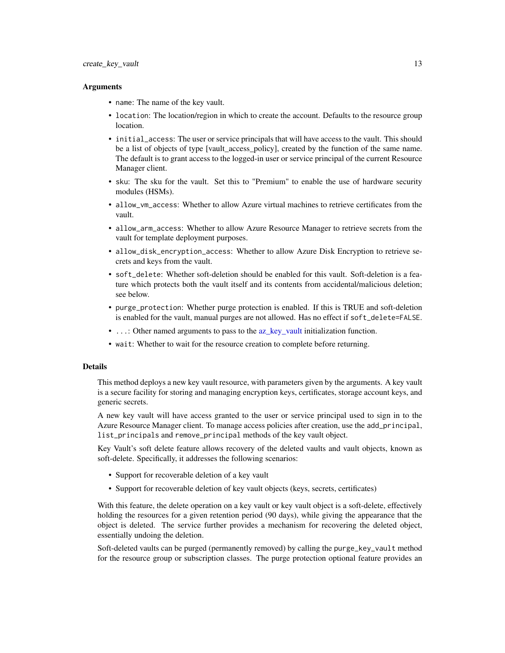# <span id="page-12-0"></span>Arguments

- name: The name of the key vault.
- location: The location/region in which to create the account. Defaults to the resource group location.
- initial\_access: The user or service principals that will have access to the vault. This should be a list of objects of type [vault\_access\_policy], created by the function of the same name. The default is to grant access to the logged-in user or service principal of the current Resource Manager client.
- sku: The sku for the vault. Set this to "Premium" to enable the use of hardware security modules (HSMs).
- allow\_vm\_access: Whether to allow Azure virtual machines to retrieve certificates from the vault.
- allow\_arm\_access: Whether to allow Azure Resource Manager to retrieve secrets from the vault for template deployment purposes.
- allow\_disk\_encryption\_access: Whether to allow Azure Disk Encryption to retrieve secrets and keys from the vault.
- soft\_delete: Whether soft-deletion should be enabled for this vault. Soft-deletion is a feature which protects both the vault itself and its contents from accidental/malicious deletion; see below.
- purge\_protection: Whether purge protection is enabled. If this is TRUE and soft-deletion is enabled for the vault, manual purges are not allowed. Has no effect if soft\_delete=FALSE.
- ...: Other named arguments to pass to the [az\\_key\\_vault](#page-2-1) initialization function.
- wait: Whether to wait for the resource creation to complete before returning.

# Details

This method deploys a new key vault resource, with parameters given by the arguments. A key vault is a secure facility for storing and managing encryption keys, certificates, storage account keys, and generic secrets.

A new key vault will have access granted to the user or service principal used to sign in to the Azure Resource Manager client. To manage access policies after creation, use the add\_principal, list\_principals and remove\_principal methods of the key vault object.

Key Vault's soft delete feature allows recovery of the deleted vaults and vault objects, known as soft-delete. Specifically, it addresses the following scenarios:

- Support for recoverable deletion of a key vault
- Support for recoverable deletion of key vault objects (keys, secrets, certificates)

With this feature, the delete operation on a key vault or key vault object is a soft-delete, effectively holding the resources for a given retention period (90 days), while giving the appearance that the object is deleted. The service further provides a mechanism for recovering the deleted object, essentially undoing the deletion.

Soft-deleted vaults can be purged (permanently removed) by calling the purge\_key\_vault method for the resource group or subscription classes. The purge protection optional feature provides an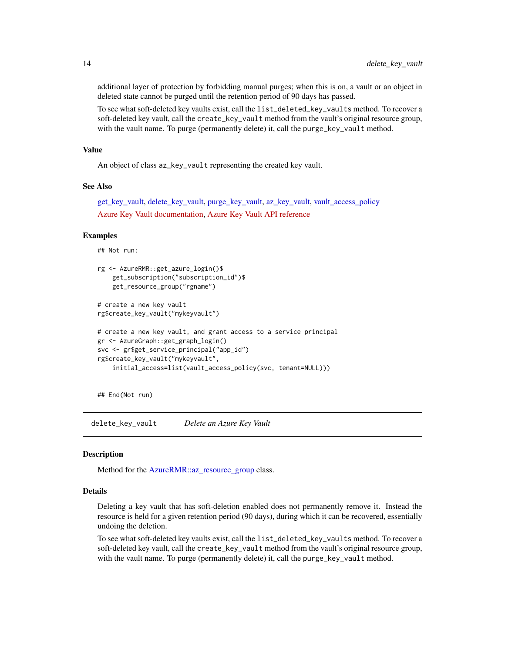additional layer of protection by forbidding manual purges; when this is on, a vault or an object in deleted state cannot be purged until the retention period of 90 days has passed.

To see what soft-deleted key vaults exist, call the list\_deleted\_key\_vaults method. To recover a soft-deleted key vault, call the create\_key\_vault method from the vault's original resource group, with the vault name. To purge (permanently delete) it, call the purge\_key\_vault method.

#### Value

An object of class az\_key\_vault representing the created key vault.

#### See Also

[get\\_key\\_vault,](#page-15-1) [delete\\_key\\_vault,](#page-13-1) [purge\\_key\\_vault,](#page-22-1) [az\\_key\\_vault,](#page-2-1) [vault\\_access\\_policy](#page-29-1) [Azure Key Vault documentation,](https://docs.microsoft.com/en-us/azure/key-vault/) [Azure Key Vault API reference](https://docs.microsoft.com/en-us/rest/api/keyvault)

# Examples

## Not run:

```
rg <- AzureRMR::get_azure_login()$
    get_subscription("subscription_id")$
   get_resource_group("rgname")
# create a new key vault
rg$create_key_vault("mykeyvault")
# create a new key vault, and grant access to a service principal
gr <- AzureGraph::get_graph_login()
svc <- gr$get_service_principal("app_id")
rg$create_key_vault("mykeyvault",
    initial_access=list(vault_access_policy(svc, tenant=NULL)))
```
## End(Not run)

<span id="page-13-1"></span>delete\_key\_vault *Delete an Azure Key Vault*

#### **Description**

Method for the [AzureRMR::az\\_resource\\_group](#page-0-0) class.

# Details

Deleting a key vault that has soft-deletion enabled does not permanently remove it. Instead the resource is held for a given retention period (90 days), during which it can be recovered, essentially undoing the deletion.

To see what soft-deleted key vaults exist, call the list\_deleted\_key\_vaults method. To recover a soft-deleted key vault, call the create\_key\_vault method from the vault's original resource group, with the vault name. To purge (permanently delete) it, call the purge\_key\_vault method.

<span id="page-13-0"></span>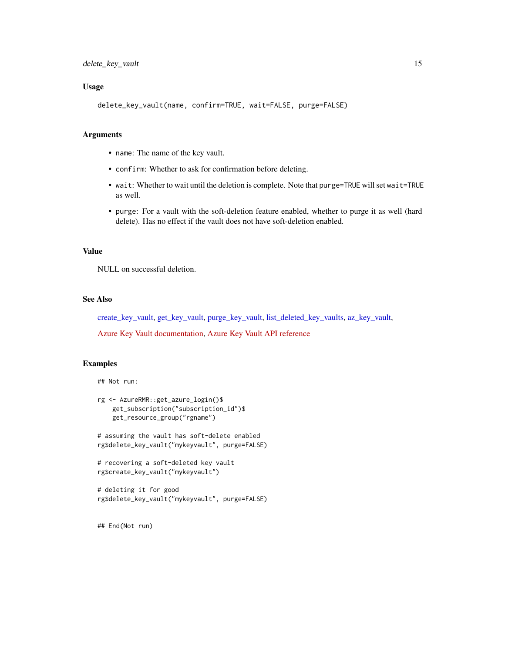#### <span id="page-14-0"></span>Usage

```
delete_key_vault(name, confirm=TRUE, wait=FALSE, purge=FALSE)
```
#### Arguments

- name: The name of the key vault.
- confirm: Whether to ask for confirmation before deleting.
- wait: Whether to wait until the deletion is complete. Note that purge=TRUE will set wait=TRUE as well.
- purge: For a vault with the soft-deletion feature enabled, whether to purge it as well (hard delete). Has no effect if the vault does not have soft-deletion enabled.

# Value

NULL on successful deletion.

# See Also

[create\\_key\\_vault,](#page-11-1) [get\\_key\\_vault,](#page-15-1) [purge\\_key\\_vault,](#page-22-1) [list\\_deleted\\_key\\_vaults,](#page-22-2) [az\\_key\\_vault,](#page-2-1)

[Azure Key Vault documentation,](https://docs.microsoft.com/en-us/azure/key-vault/) [Azure Key Vault API reference](https://docs.microsoft.com/en-us/rest/api/keyvault)

# Examples

## Not run:

```
rg <- AzureRMR::get_azure_login()$
    get_subscription("subscription_id")$
   get_resource_group("rgname")
```
# assuming the vault has soft-delete enabled rg\$delete\_key\_vault("mykeyvault", purge=FALSE)

```
# recovering a soft-deleted key vault
rg$create_key_vault("mykeyvault")
```

```
# deleting it for good
rg$delete_key_vault("mykeyvault", purge=FALSE)
```
## End(Not run)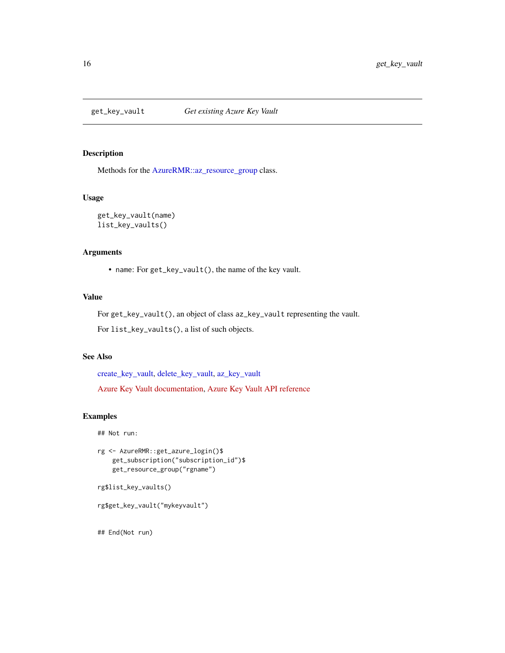<span id="page-15-1"></span><span id="page-15-0"></span>

# Description

Methods for the [AzureRMR::az\\_resource\\_group](#page-0-0) class.

# Usage

get\_key\_vault(name) list\_key\_vaults()

#### Arguments

• name: For get\_key\_vault(), the name of the key vault.

# Value

For get\_key\_vault(), an object of class az\_key\_vault representing the vault.

For list\_key\_vaults(), a list of such objects.

# See Also

[create\\_key\\_vault,](#page-11-1) [delete\\_key\\_vault,](#page-13-1) [az\\_key\\_vault](#page-2-1)

[Azure Key Vault documentation,](https://docs.microsoft.com/en-us/azure/key-vault/) [Azure Key Vault API reference](https://docs.microsoft.com/en-us/rest/api/keyvault)

# Examples

```
## Not run:
```

```
rg <- AzureRMR::get_azure_login()$
   get_subscription("subscription_id")$
   get_resource_group("rgname")
```

```
rg$list_key_vaults()
```

```
rg$get_key_vault("mykeyvault")
```
## End(Not run)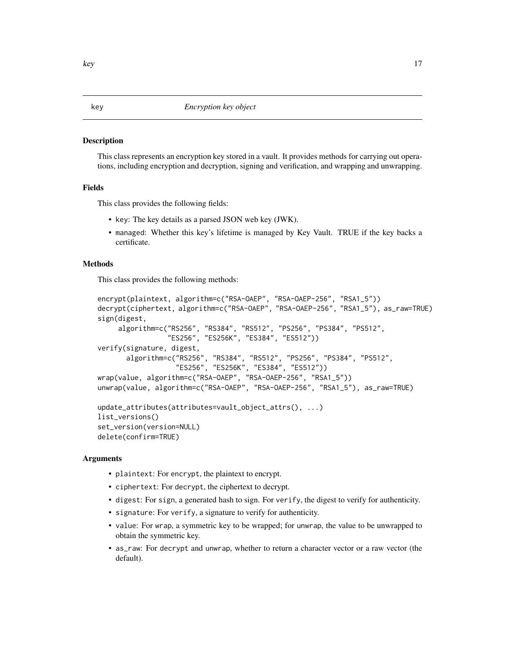#### <span id="page-16-1"></span><span id="page-16-0"></span>Description

This class represents an encryption key stored in a vault. It provides methods for carrying out operations, including encryption and decryption, signing and verification, and wrapping and unwrapping.

#### Fields

This class provides the following fields:

- key: The key details as a parsed JSON web key (JWK).
- managed: Whether this key's lifetime is managed by Key Vault. TRUE if the key backs a certificate.

# Methods

This class provides the following methods:

```
encrypt(plaintext, algorithm=c("RSA-OAEP", "RSA-OAEP-256", "RSA1_5"))
decrypt(ciphertext, algorithm=c("RSA-OAEP", "RSA-OAEP-256", "RSA1_5"), as_raw=TRUE)
sign(digest,
    algorithm=c("RS256", "RS384", "RS512", "PS256", "PS384", "PS512",
                 "ES256", "ES256K", "ES384", "ES512"))
verify(signature, digest,
      algorithm=c("RS256", "RS384", "RS512", "PS256", "PS384", "PS512",
                   "ES256", "ES256K", "ES384", "ES512"))
wrap(value, algorithm=c("RSA-OAEP", "RSA-OAEP-256", "RSA1_5"))
unwrap(value, algorithm=c("RSA-OAEP", "RSA-OAEP-256", "RSA1_5"), as_raw=TRUE)
update_attributes(attributes=vault_object_attrs(), ...)
list_versions()
set_version(version=NULL)
delete(confirm=TRUE)
```
#### Arguments

- plaintext: For encrypt, the plaintext to encrypt.
- ciphertext: For decrypt, the ciphertext to decrypt.
- digest: For sign, a generated hash to sign. For verify, the digest to verify for authenticity.
- signature: For verify, a signature to verify for authenticity.
- value: For wrap, a symmetric key to be wrapped; for unwrap, the value to be unwrapped to obtain the symmetric key.
- as\_raw: For decrypt and unwrap, whether to return a character vector or a raw vector (the default).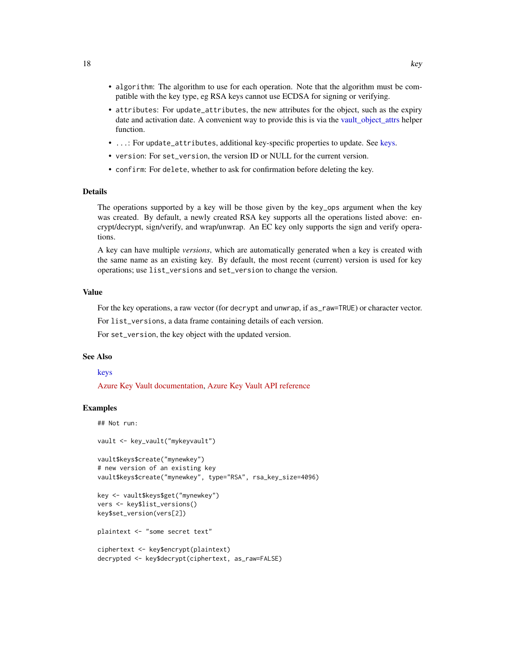- <span id="page-17-0"></span>• algorithm: The algorithm to use for each operation. Note that the algorithm must be compatible with the key type, eg RSA keys cannot use ECDSA for signing or verifying.
- attributes: For update\_attributes, the new attributes for the object, such as the expiry date and activation date. A convenient way to provide this is via the [vault\\_object\\_attrs](#page-9-1) helper function.
- ...: For update\_attributes, additional key-specific properties to update. See [keys.](#page-18-1)
- version: For set\_version, the version ID or NULL for the current version.
- confirm: For delete, whether to ask for confirmation before deleting the key.

#### Details

The operations supported by a key will be those given by the key\_ops argument when the key was created. By default, a newly created RSA key supports all the operations listed above: encrypt/decrypt, sign/verify, and wrap/unwrap. An EC key only supports the sign and verify operations.

A key can have multiple *versions*, which are automatically generated when a key is created with the same name as an existing key. By default, the most recent (current) version is used for key operations; use list\_versions and set\_version to change the version.

#### Value

For the key operations, a raw vector (for decrypt and unwrap, if as\_raw=TRUE) or character vector.

For list\_versions, a data frame containing details of each version.

For set\_version, the key object with the updated version.

#### See Also

# [keys](#page-18-1)

[Azure Key Vault documentation,](https://docs.microsoft.com/en-us/azure/key-vault/) [Azure Key Vault API reference](https://docs.microsoft.com/en-us/rest/api/keyvault)

#### Examples

```
## Not run:
vault <- key_vault("mykeyvault")
vault$keys$create("mynewkey")
# new version of an existing key
vault$keys$create("mynewkey", type="RSA", rsa_key_size=4096)
key <- vault$keys$get("mynewkey")
vers <- key$list_versions()
key$set_version(vers[2])
plaintext <- "some secret text"
ciphertext <- key$encrypt(plaintext)
decrypted <- key$decrypt(ciphertext, as_raw=FALSE)
```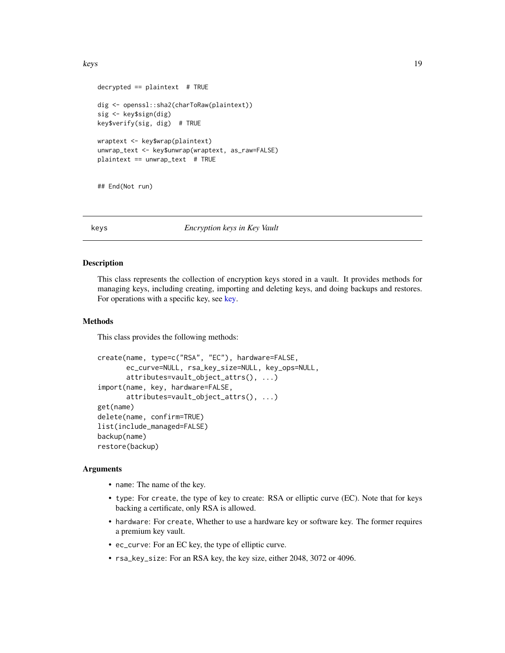```
decrypted == plaintext # TRUE
dig <- openssl::sha2(charToRaw(plaintext))
sig <- key$sign(dig)
key$verify(sig, dig) # TRUE
wraptext <- key$wrap(plaintext)
unwrap_text <- key$unwrap(wraptext, as_raw=FALSE)
plaintext == unwrap_test # TRUE
```
## End(Not run)

<span id="page-18-1"></span>

#### keys *Encryption keys in Key Vault*

#### Description

This class represents the collection of encryption keys stored in a vault. It provides methods for managing keys, including creating, importing and deleting keys, and doing backups and restores. For operations with a specific key, see [key.](#page-16-1)

# Methods

This class provides the following methods:

```
create(name, type=c("RSA", "EC"), hardware=FALSE,
       ec_curve=NULL, rsa_key_size=NULL, key_ops=NULL,
       attributes=vault_object_attrs(), ...)
import(name, key, hardware=FALSE,
       attributes=vault_object_attrs(), ...)
get(name)
delete(name, confirm=TRUE)
list(include_managed=FALSE)
backup(name)
restore(backup)
```
#### Arguments

- name: The name of the key.
- type: For create, the type of key to create: RSA or elliptic curve (EC). Note that for keys backing a certificate, only RSA is allowed.
- hardware: For create, Whether to use a hardware key or software key. The former requires a premium key vault.
- ec\_curve: For an EC key, the type of elliptic curve.
- rsa\_key\_size: For an RSA key, the key size, either 2048, 3072 or 4096.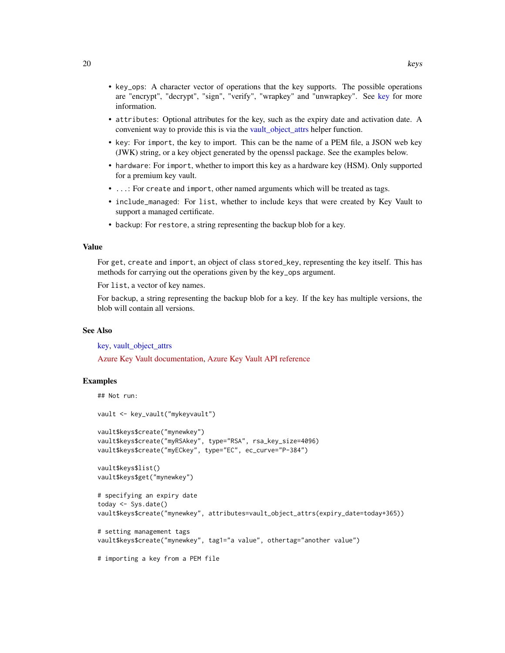- <span id="page-19-0"></span>• key\_ops: A character vector of operations that the key supports. The possible operations are "encrypt", "decrypt", "sign", "verify", "wrapkey" and "unwrapkey". See [key](#page-16-1) for more information.
- attributes: Optional attributes for the key, such as the expiry date and activation date. A convenient way to provide this is via the [vault\\_object\\_attrs](#page-9-1) helper function.
- key: For import, the key to import. This can be the name of a PEM file, a JSON web key (JWK) string, or a key object generated by the openssl package. See the examples below.
- hardware: For import, whether to import this key as a hardware key (HSM). Only supported for a premium key vault.
- ...: For create and import, other named arguments which will be treated as tags.
- include\_managed: For list, whether to include keys that were created by Key Vault to support a managed certificate.
- backup: For restore, a string representing the backup blob for a key.

#### Value

For get, create and import, an object of class stored\_key, representing the key itself. This has methods for carrying out the operations given by the key\_ops argument.

For list, a vector of key names.

For backup, a string representing the backup blob for a key. If the key has multiple versions, the blob will contain all versions.

# See Also

[key,](#page-16-1) [vault\\_object\\_attrs](#page-9-1)

[Azure Key Vault documentation,](https://docs.microsoft.com/en-us/azure/key-vault/) [Azure Key Vault API reference](https://docs.microsoft.com/en-us/rest/api/keyvault)

#### Examples

```
## Not run:
vault <- key_vault("mykeyvault")
vault$keys$create("mynewkey")
vault$keys$create("myRSAkey", type="RSA", rsa_key_size=4096)
vault$keys$create("myECkey", type="EC", ec_curve="P-384")
vault$keys$list()
vault$keys$get("mynewkey")
# specifying an expiry date
today <- Sys.date()
vault$keys$create("mynewkey", attributes=vault_object_attrs(expiry_date=today+365))
# setting management tags
vault$keys$create("mynewkey", tag1="a value", othertag="another value")
# importing a key from a PEM file
```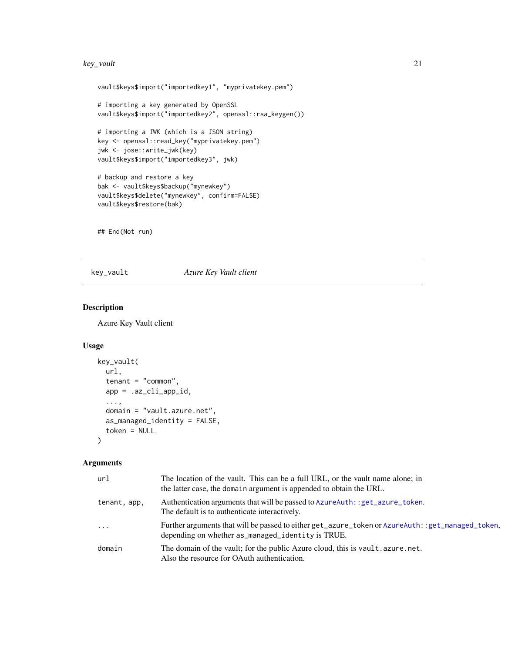#### <span id="page-20-0"></span>key\_vault 21

```
vault$keys$import("importedkey1", "myprivatekey.pem")
# importing a key generated by OpenSSL
vault$keys$import("importedkey2", openssl::rsa_keygen())
# importing a JWK (which is a JSON string)
key <- openssl::read_key("myprivatekey.pem")
jwk <- jose::write_jwk(key)
vault$keys$import("importedkey3", jwk)
# backup and restore a key
bak <- vault$keys$backup("mynewkey")
vault$keys$delete("mynewkey", confirm=FALSE)
vault$keys$restore(bak)
```
## End(Not run)

# <span id="page-20-1"></span>key\_vault *Azure Key Vault client*

# Description

Azure Key Vault client

# Usage

```
key_vault(
  url,
  tenant = "common",app = .az_cli_app_id,
  ...,
  domain = "vault.azure.net",
  as_managed_identity = FALSE,
  token = NULL
)
```
# Arguments

| ur1          | The location of the vault. This can be a full URL, or the vault name alone; in<br>the latter case, the domain argument is appended to obtain the URL. |
|--------------|-------------------------------------------------------------------------------------------------------------------------------------------------------|
| tenant, app, | Authentication arguments that will be passed to AzureAuth: : get_azure_token.<br>The default is to authenticate interactively.                        |
| $\ddots$     | Further arguments that will be passed to either get_azure_token or AzureAuth::get_managed_token,<br>depending on whether as_managed_identity is TRUE. |
| domain       | The domain of the vault; for the public Azure cloud, this is vault. azure. net.<br>Also the resource for OAuth authentication.                        |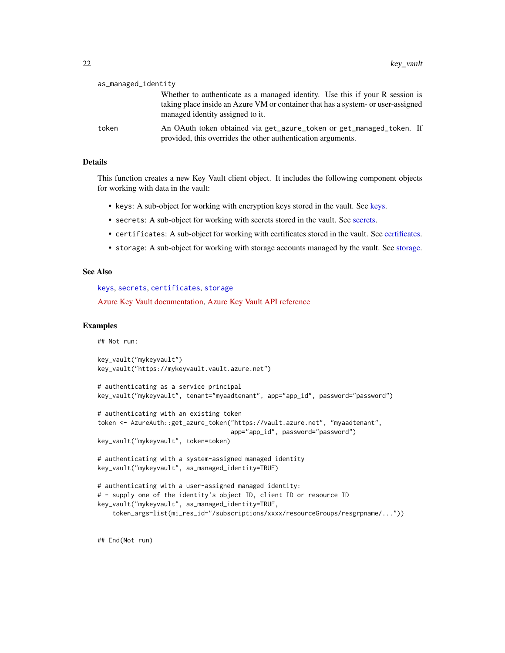| as_managed_identity |                                                                                                                                                                                                      |
|---------------------|------------------------------------------------------------------------------------------------------------------------------------------------------------------------------------------------------|
|                     | Whether to authenticate as a managed identity. Use this if your R session is<br>taking place inside an Azure VM or container that has a system- or user-assigned<br>managed identity assigned to it. |
| token               | An OAuth token obtained via get_azure_token or get_managed_token. If<br>provided, this overrides the other authentication arguments.                                                                 |

# **Details**

This function creates a new Key Vault client object. It includes the following component objects for working with data in the vault:

- keys: A sub-object for working with encryption keys stored in the vault. See [keys.](#page-18-1)
- secrets: A sub-object for working with secrets stored in the vault. See [secrets.](#page-23-1)
- certificates: A sub-object for working with certificates stored in the vault. See [certificates.](#page-7-1)
- storage: A sub-object for working with storage accounts managed by the vault. See [storage.](#page-28-1)

#### See Also

[keys](#page-18-1), [secrets](#page-23-1), [certificates](#page-7-1), [storage](#page-28-1) [Azure Key Vault documentation,](https://docs.microsoft.com/en-us/azure/key-vault/) [Azure Key Vault API reference](https://docs.microsoft.com/en-us/rest/api/keyvault)

#### Examples

## Not run:

```
key_vault("mykeyvault")
key_vault("https://mykeyvault.vault.azure.net")
```

```
# authenticating as a service principal
key_vault("mykeyvault", tenant="myaadtenant", app="app_id", password="password")
```

```
# authenticating with an existing token
token <- AzureAuth::get_azure_token("https://vault.azure.net", "myaadtenant",
                                    app="app_id", password="password")
```
key\_vault("mykeyvault", token=token)

```
# authenticating with a system-assigned managed identity
key_vault("mykeyvault", as_managed_identity=TRUE)
```

```
# authenticating with a user-assigned managed identity:
# - supply one of the identity's object ID, client ID or resource ID
key_vault("mykeyvault", as_managed_identity=TRUE,
    token_args=list(mi_res_id="/subscriptions/xxxx/resourceGroups/resgrpname/..."))
```
## End(Not run)

<span id="page-21-0"></span>as\_managed\_identity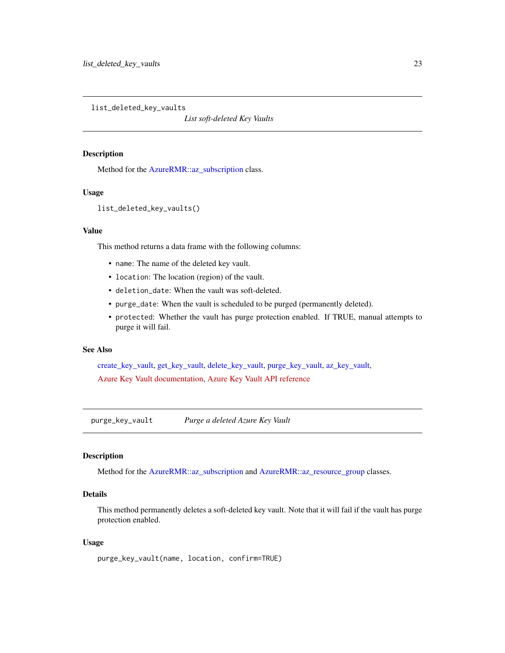<span id="page-22-2"></span><span id="page-22-0"></span>list\_deleted\_key\_vaults

*List soft-deleted Key Vaults*

# Description

Method for the [AzureRMR::az\\_subscription](#page-0-0) class.

#### Usage

```
list_deleted_key_vaults()
```
# Value

This method returns a data frame with the following columns:

- name: The name of the deleted key vault.
- location: The location (region) of the vault.
- deletion\_date: When the vault was soft-deleted.
- purge\_date: When the vault is scheduled to be purged (permanently deleted).
- protected: Whether the vault has purge protection enabled. If TRUE, manual attempts to purge it will fail.

# See Also

[create\\_key\\_vault,](#page-11-1) [get\\_key\\_vault,](#page-15-1) [delete\\_key\\_vault,](#page-13-1) [purge\\_key\\_vault,](#page-22-1) [az\\_key\\_vault,](#page-2-1) [Azure Key Vault documentation,](https://docs.microsoft.com/en-us/azure/key-vault/) [Azure Key Vault API reference](https://docs.microsoft.com/en-us/rest/api/keyvault)

<span id="page-22-1"></span>purge\_key\_vault *Purge a deleted Azure Key Vault*

# Description

Method for the [AzureRMR::az\\_subscription](#page-0-0) and [AzureRMR::az\\_resource\\_group](#page-0-0) classes.

# Details

This method permanently deletes a soft-deleted key vault. Note that it will fail if the vault has purge protection enabled.

#### Usage

```
purge_key_vault(name, location, confirm=TRUE)
```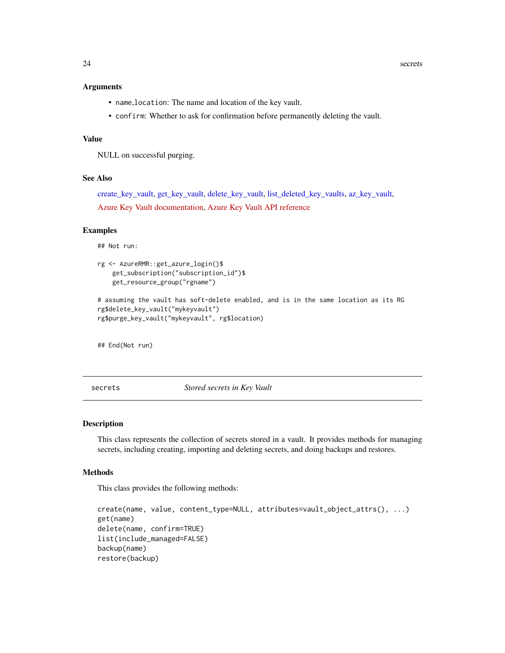#### <span id="page-23-0"></span>Arguments

- name,location: The name and location of the key vault.
- confirm: Whether to ask for confirmation before permanently deleting the vault.

#### Value

NULL on successful purging.

# See Also

[create\\_key\\_vault,](#page-11-1) [get\\_key\\_vault,](#page-15-1) [delete\\_key\\_vault,](#page-13-1) [list\\_deleted\\_key\\_vaults,](#page-22-2) [az\\_key\\_vault,](#page-2-1) [Azure Key Vault documentation,](https://docs.microsoft.com/en-us/azure/key-vault/) [Azure Key Vault API reference](https://docs.microsoft.com/en-us/rest/api/keyvault)

#### Examples

## Not run:

```
rg <- AzureRMR::get_azure_login()$
    get_subscription("subscription_id")$
   get_resource_group("rgname")
```

```
# assuming the vault has soft-delete enabled, and is in the same location as its RG
rg$delete_key_vault("mykeyvault")
rg$purge_key_vault("mykeyvault", rg$location)
```
## End(Not run)

<span id="page-23-1"></span>secrets *Stored secrets in Key Vault*

#### Description

This class represents the collection of secrets stored in a vault. It provides methods for managing secrets, including creating, importing and deleting secrets, and doing backups and restores.

#### Methods

This class provides the following methods:

```
create(name, value, content_type=NULL, attributes=vault_object_attrs(), ...)
get(name)
delete(name, confirm=TRUE)
list(include_managed=FALSE)
backup(name)
restore(backup)
```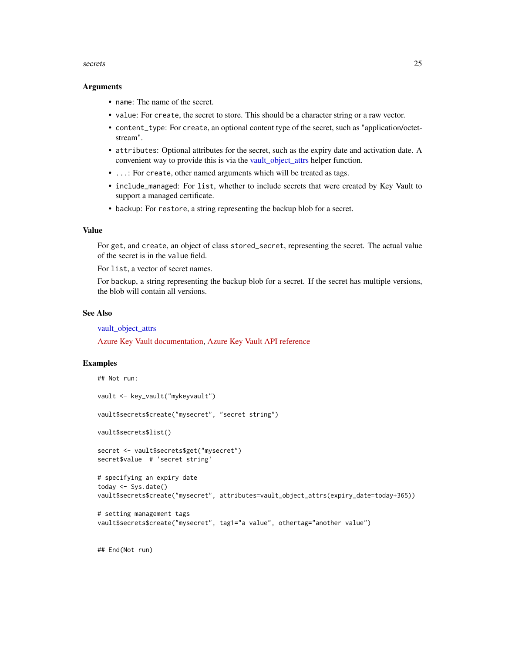#### <span id="page-24-0"></span>secrets 25

#### Arguments

- name: The name of the secret.
- value: For create, the secret to store. This should be a character string or a raw vector.
- content\_type: For create, an optional content type of the secret, such as "application/octetstream".
- attributes: Optional attributes for the secret, such as the expiry date and activation date. A convenient way to provide this is via the [vault\\_object\\_attrs](#page-9-1) helper function.
- ...: For create, other named arguments which will be treated as tags.
- include\_managed: For list, whether to include secrets that were created by Key Vault to support a managed certificate.
- backup: For restore, a string representing the backup blob for a secret.

#### Value

For get, and create, an object of class stored\_secret, representing the secret. The actual value of the secret is in the value field.

For list, a vector of secret names.

For backup, a string representing the backup blob for a secret. If the secret has multiple versions, the blob will contain all versions.

#### See Also

[vault\\_object\\_attrs](#page-9-1)

[Azure Key Vault documentation,](https://docs.microsoft.com/en-us/azure/key-vault/) [Azure Key Vault API reference](https://docs.microsoft.com/en-us/rest/api/keyvault)

#### Examples

```
## Not run:
vault <- key_vault("mykeyvault")
vault$secrets$create("mysecret", "secret string")
vault$secrets$list()
secret <- vault$secrets$get("mysecret")
secret$value # 'secret string'
# specifying an expiry date
today <- Sys.date()
vault$secrets$create("mysecret", attributes=vault_object_attrs(expiry_date=today+365))
# setting management tags
vault$secrets$create("mysecret", tag1="a value", othertag="another value")
```
## End(Not run)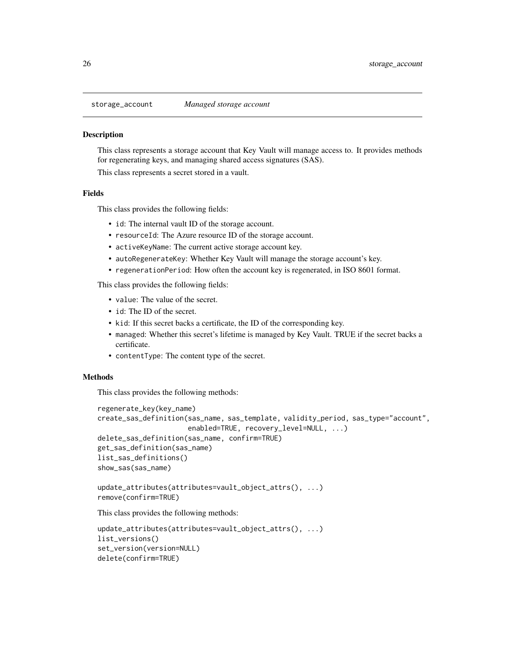<span id="page-25-1"></span><span id="page-25-0"></span>

#### **Description**

This class represents a storage account that Key Vault will manage access to. It provides methods for regenerating keys, and managing shared access signatures (SAS).

This class represents a secret stored in a vault.

#### Fields

This class provides the following fields:

- id: The internal vault ID of the storage account.
- resourceId: The Azure resource ID of the storage account.
- activeKeyName: The current active storage account key.
- autoRegenerateKey: Whether Key Vault will manage the storage account's key.
- regenerationPeriod: How often the account key is regenerated, in ISO 8601 format.

This class provides the following fields:

- value: The value of the secret.
- id: The ID of the secret.
- kid: If this secret backs a certificate, the ID of the corresponding key.
- managed: Whether this secret's lifetime is managed by Key Vault. TRUE if the secret backs a certificate.
- contentType: The content type of the secret.

#### Methods

This class provides the following methods:

```
regenerate_key(key_name)
create_sas_definition(sas_name, sas_template, validity_period, sas_type="account",
                      enabled=TRUE, recovery_level=NULL, ...)
delete_sas_definition(sas_name, confirm=TRUE)
get_sas_definition(sas_name)
list_sas_definitions()
show_sas(sas_name)
```

```
update_attributes(attributes=vault_object_attrs(), ...)
remove(confirm=TRUE)
```
This class provides the following methods:

```
update_attributes(attributes=vault_object_attrs(), ...)
list_versions()
set_version(version=NULL)
delete(confirm=TRUE)
```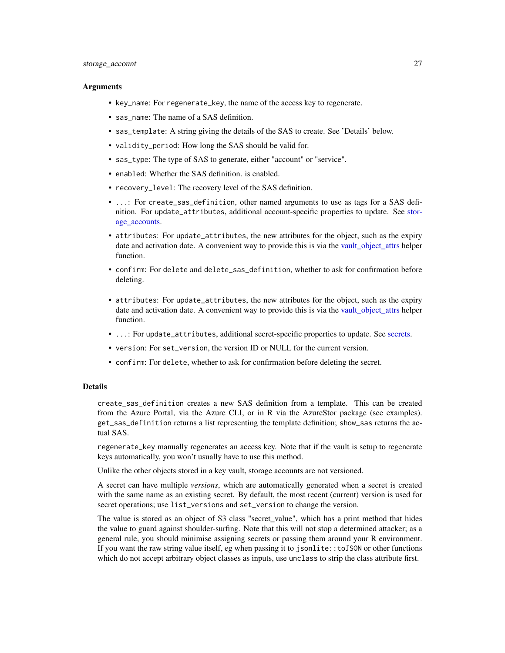#### <span id="page-26-0"></span>storage\_account 27

#### Arguments

- key\_name: For regenerate\_key, the name of the access key to regenerate.
- sas\_name: The name of a SAS definition.
- sas\_template: A string giving the details of the SAS to create. See 'Details' below.
- validity\_period: How long the SAS should be valid for.
- sas\_type: The type of SAS to generate, either "account" or "service".
- enabled: Whether the SAS definition. is enabled.
- recovery\_level: The recovery level of the SAS definition.
- ...: For create\_sas\_definition, other named arguments to use as tags for a SAS definition. For update\_attributes, additional account-specific properties to update. See [stor](#page-28-2)[age\\_accounts.](#page-28-2)
- attributes: For update\_attributes, the new attributes for the object, such as the expiry date and activation date. A convenient way to provide this is via the [vault\\_object\\_attrs](#page-9-1) helper function.
- confirm: For delete and delete\_sas\_definition, whether to ask for confirmation before deleting.
- attributes: For update\_attributes, the new attributes for the object, such as the expiry date and activation date. A convenient way to provide this is via the [vault\\_object\\_attrs](#page-9-1) helper function.
- ...: For update\_attributes, additional secret-specific properties to update. See [secrets.](#page-23-1)
- version: For set\_version, the version ID or NULL for the current version.
- confirm: For delete, whether to ask for confirmation before deleting the secret.

# Details

create\_sas\_definition creates a new SAS definition from a template. This can be created from the Azure Portal, via the Azure CLI, or in R via the AzureStor package (see examples). get\_sas\_definition returns a list representing the template definition; show\_sas returns the actual SAS.

regenerate\_key manually regenerates an access key. Note that if the vault is setup to regenerate keys automatically, you won't usually have to use this method.

Unlike the other objects stored in a key vault, storage accounts are not versioned.

A secret can have multiple *versions*, which are automatically generated when a secret is created with the same name as an existing secret. By default, the most recent (current) version is used for secret operations; use list\_versions and set\_version to change the version.

The value is stored as an object of S3 class "secret\_value", which has a print method that hides the value to guard against shoulder-surfing. Note that this will not stop a determined attacker; as a general rule, you should minimise assigning secrets or passing them around your R environment. If you want the raw string value itself, eg when passing it to jsonlite::toJSON or other functions which do not accept arbitrary object classes as inputs, use unclass to strip the class attribute first.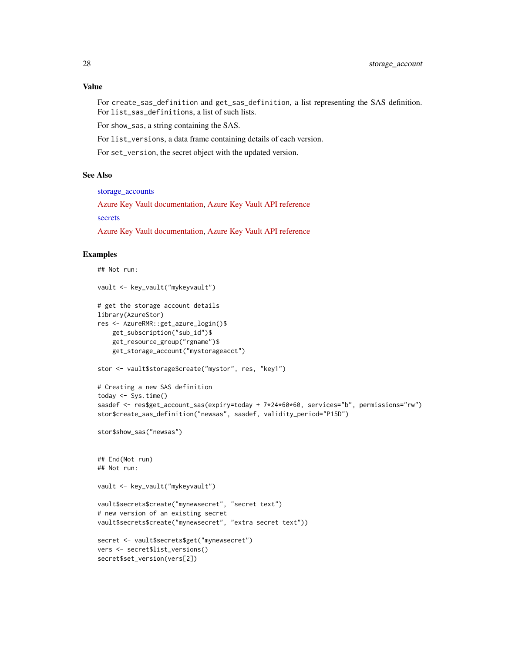# <span id="page-27-0"></span>Value

```
For create_sas_definition and get_sas_definition, a list representing the SAS definition.
For list_sas_definitions, a list of such lists.
```
For show\_sas, a string containing the SAS.

For list\_versions, a data frame containing details of each version.

For set\_version, the secret object with the updated version.

# See Also

[storage\\_accounts](#page-28-2)

[Azure Key Vault documentation,](https://docs.microsoft.com/en-us/azure/key-vault/) [Azure Key Vault API reference](https://docs.microsoft.com/en-us/rest/api/keyvault) [secrets](#page-23-1)

[Azure Key Vault documentation,](https://docs.microsoft.com/en-us/azure/key-vault/) [Azure Key Vault API reference](https://docs.microsoft.com/en-us/rest/api/keyvault)

#### Examples

```
## Not run:
vault <- key_vault("mykeyvault")
# get the storage account details
library(AzureStor)
res <- AzureRMR::get_azure_login()$
   get_subscription("sub_id")$
   get_resource_group("rgname")$
   get_storage_account("mystorageacct")
stor <- vault$storage$create("mystor", res, "key1")
# Creating a new SAS definition
today <- Sys.time()
sasdef <- res$get_account_sas(expiry=today + 7*24*60*60, services="b", permissions="rw")
stor$create_sas_definition("newsas", sasdef, validity_period="P15D")
stor$show_sas("newsas")
## End(Not run)
## Not run:
vault <- key_vault("mykeyvault")
vault$secrets$create("mynewsecret", "secret text")
# new version of an existing secret
vault$secrets$create("mynewsecret", "extra secret text"))
secret <- vault$secrets$get("mynewsecret")
vers <- secret$list_versions()
secret$set_version(vers[2])
```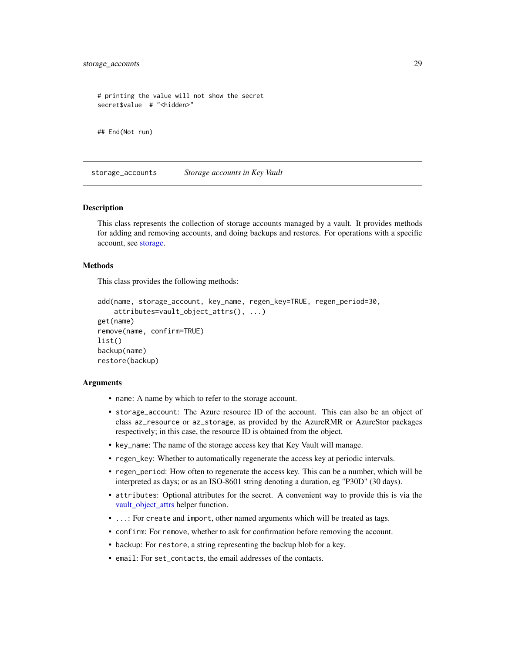```
# printing the value will not show the secret
secret$value # "<hidden>"
```

```
## End(Not run)
```
<span id="page-28-2"></span>storage\_accounts *Storage accounts in Key Vault*

#### <span id="page-28-1"></span>Description

This class represents the collection of storage accounts managed by a vault. It provides methods for adding and removing accounts, and doing backups and restores. For operations with a specific account, see [storage.](#page-28-1)

#### Methods

This class provides the following methods:

```
add(name, storage_account, key_name, regen_key=TRUE, regen_period=30,
   attributes=vault_object_attrs(), ...)
get(name)
remove(name, confirm=TRUE)
list()
backup(name)
restore(backup)
```
# Arguments

- name: A name by which to refer to the storage account.
- storage\_account: The Azure resource ID of the account. This can also be an object of class az\_resource or az\_storage, as provided by the AzureRMR or AzureStor packages respectively; in this case, the resource ID is obtained from the object.
- key\_name: The name of the storage access key that Key Vault will manage.
- regen\_key: Whether to automatically regenerate the access key at periodic intervals.
- regen\_period: How often to regenerate the access key. This can be a number, which will be interpreted as days; or as an ISO-8601 string denoting a duration, eg "P30D" (30 days).
- attributes: Optional attributes for the secret. A convenient way to provide this is via the [vault\\_object\\_attrs](#page-9-1) helper function.
- ...: For create and import, other named arguments which will be treated as tags.
- confirm: For remove, whether to ask for confirmation before removing the account.
- backup: For restore, a string representing the backup blob for a key.
- email: For set\_contacts, the email addresses of the contacts.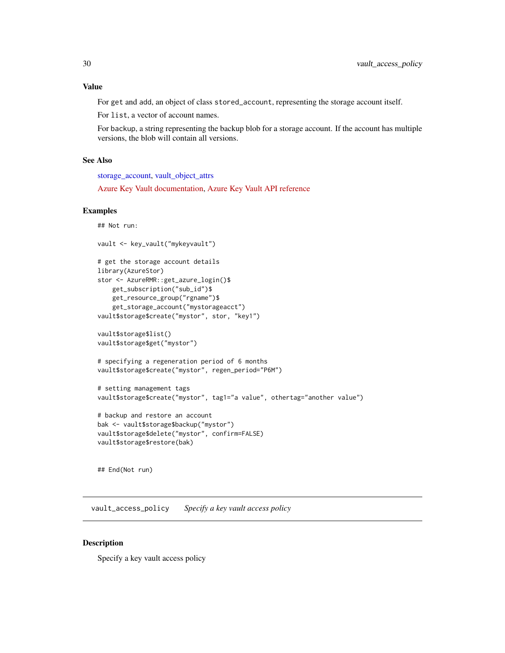# <span id="page-29-0"></span>Value

For get and add, an object of class stored\_account, representing the storage account itself.

For list, a vector of account names.

For backup, a string representing the backup blob for a storage account. If the account has multiple versions, the blob will contain all versions.

# See Also

[storage\\_account,](#page-25-1) [vault\\_object\\_attrs](#page-9-1)

[Azure Key Vault documentation,](https://docs.microsoft.com/en-us/azure/key-vault/) [Azure Key Vault API reference](https://docs.microsoft.com/en-us/rest/api/keyvault)

#### Examples

```
## Not run:
```

```
vault <- key_vault("mykeyvault")
# get the storage account details
library(AzureStor)
stor <- AzureRMR::get_azure_login()$
   get_subscription("sub_id")$
   get_resource_group("rgname")$
   get_storage_account("mystorageacct")
vault$storage$create("mystor", stor, "key1")
vault$storage$list()
vault$storage$get("mystor")
# specifying a regeneration period of 6 months
vault$storage$create("mystor", regen_period="P6M")
# setting management tags
vault$storage$create("mystor", tag1="a value", othertag="another value")
# backup and restore an account
bak <- vault$storage$backup("mystor")
vault$storage$delete("mystor", confirm=FALSE)
vault$storage$restore(bak)
```
## End(Not run)

<span id="page-29-1"></span>vault\_access\_policy *Specify a key vault access policy*

#### Description

Specify a key vault access policy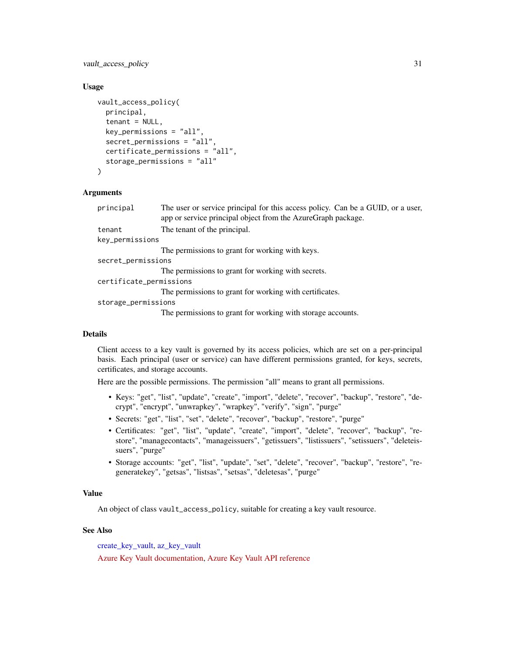<span id="page-30-0"></span>vault\_access\_policy 31

### Usage

```
vault_access_policy(
 principal,
  tenant = NULL,
  key_permissions = "all",
  secret_permissions = "all",
  certificate_permissions = "all",
  storage_permissions = "all"
\lambda
```
# **Arguments**

| principal               | The user or service principal for this access policy. Can be a GUID, or a user,<br>app or service principal object from the AzureGraph package. |
|-------------------------|-------------------------------------------------------------------------------------------------------------------------------------------------|
| tenant                  | The tenant of the principal.                                                                                                                    |
| key_permissions         |                                                                                                                                                 |
|                         | The permissions to grant for working with keys.                                                                                                 |
| secret_permissions      |                                                                                                                                                 |
|                         | The permissions to grant for working with secrets.                                                                                              |
| certificate_permissions |                                                                                                                                                 |
|                         | The permissions to grant for working with certificates.                                                                                         |
| storage_permissions     |                                                                                                                                                 |
|                         |                                                                                                                                                 |

The permissions to grant for working with storage accounts.

#### Details

Client access to a key vault is governed by its access policies, which are set on a per-principal basis. Each principal (user or service) can have different permissions granted, for keys, secrets, certificates, and storage accounts.

Here are the possible permissions. The permission "all" means to grant all permissions.

- Keys: "get", "list", "update", "create", "import", "delete", "recover", "backup", "restore", "decrypt", "encrypt", "unwrapkey", "wrapkey", "verify", "sign", "purge"
- Secrets: "get", "list", "set", "delete", "recover", "backup", "restore", "purge"
- Certificates: "get", "list", "update", "create", "import", "delete", "recover", "backup", "restore", "managecontacts", "manageissuers", "getissuers", "listissuers", "setissuers", "deleteissuers", "purge"
- Storage accounts: "get", "list", "update", "set", "delete", "recover", "backup", "restore", "regeneratekey", "getsas", "listsas", "setsas", "deletesas", "purge"

#### Value

An object of class vault\_access\_policy, suitable for creating a key vault resource.

# See Also

[create\\_key\\_vault,](#page-11-1) [az\\_key\\_vault](#page-2-1)

[Azure Key Vault documentation,](https://docs.microsoft.com/en-us/azure/key-vault/) [Azure Key Vault API reference](https://docs.microsoft.com/en-us/rest/api/keyvault)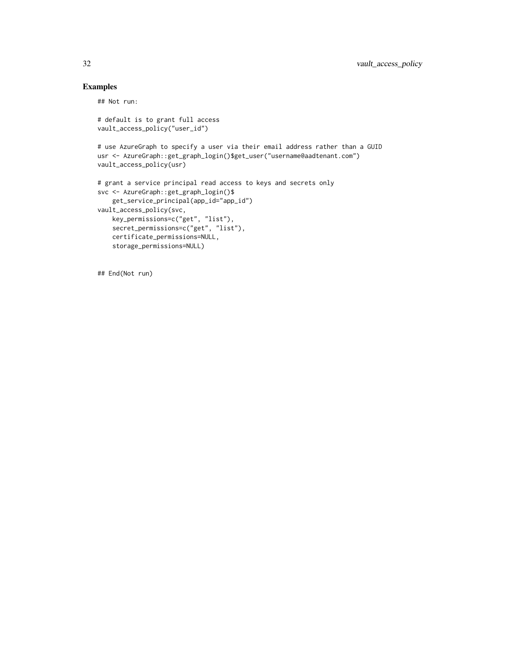# Examples

## Not run:

```
# default is to grant full access
vault_access_policy("user_id")
```
# use AzureGraph to specify a user via their email address rather than a GUID usr <- AzureGraph::get\_graph\_login()\$get\_user("username@aadtenant.com") vault\_access\_policy(usr)

```
# grant a service principal read access to keys and secrets only
svc <- AzureGraph::get_graph_login()$
   get_service_principal(app_id="app_id")
vault_access_policy(svc,
   key_permissions=c("get", "list"),
   secret_permissions=c("get", "list"),
   certificate_permissions=NULL,
   storage_permissions=NULL)
```
## End(Not run)